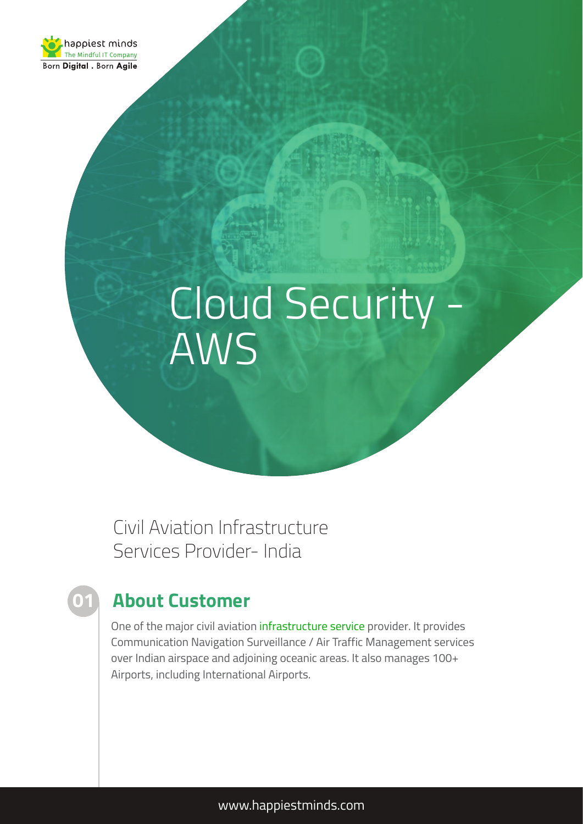

# Cloud Security - AWS

Civil Aviation Infrastructure Services Provider- India

## **About Customer**

**01**

One of the major civil aviation [infrastructure service](https://www.happiestminds.com/services/managed-infrastructure-services/) provider. It provides Communication Navigation Surveillance / Air Traffic Management services over Indian airspace and adjoining oceanic areas. It also manages 100+ Airports, including International Airports.

www.happiestminds.com